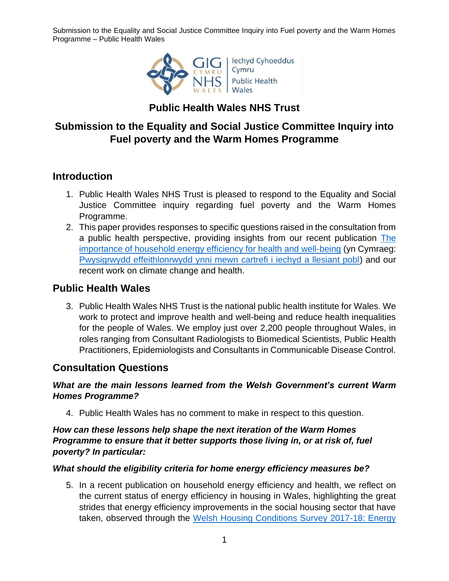Submission to the Equality and Social Justice Committee Inquiry into Fuel poverty and the Warm Homes Programme – Public Health Wales



# **Public Health Wales NHS Trust**

## **Submission to the Equality and Social Justice Committee Inquiry into Fuel poverty and the Warm Homes Programme**

## **Introduction**

- 1. Public Health Wales NHS Trust is pleased to respond to the Equality and Social Justice Committee inquiry regarding fuel poverty and the Warm Homes Programme.
- 2. This paper provides responses to specific questions raised in the consultation from a public health perspective, providing insights from our recent publication The [importance of household energy efficiency for health and well-being](https://phwwhocc.co.uk/resources/the-importance-of-household-energy-efficiency-for-health-and-well-being/) (yn Cymraeg: [Pwysigrwydd effeithlonrwydd ynni mewn cartrefi i iechyd a llesiant pobl\)](https://phwwhocc.co.uk/resources/the-importance-of-household-energy-efficiency-for-health-and-well-being/?lang=cy) and our recent work on climate change and health.

## **Public Health Wales**

3. Public Health Wales NHS Trust is the national public health institute for Wales. We work to protect and improve health and well-being and reduce health inequalities for the people of Wales. We employ just over 2,200 people throughout Wales, in roles ranging from Consultant Radiologists to Biomedical Scientists, Public Health Practitioners, Epidemiologists and Consultants in Communicable Disease Control.

#### **Consultation Questions**

#### *What are the main lessons learned from the Welsh Government's current Warm Homes Programme?*

4. Public Health Wales has no comment to make in respect to this question.

#### *How can these lessons help shape the next iteration of the Warm Homes Programme to ensure that it better supports those living in, or at risk of, fuel poverty? In particular:*

#### *What should the eligibility criteria for home energy efficiency measures be?*

5. In a recent publication on household energy efficiency and health, we reflect on the current status of energy efficiency in housing in Wales, highlighting the great strides that energy efficiency improvements in the social housing sector that have taken, observed through the [Welsh Housing Conditions Survey 2017-18: Energy](https://gov.wales/sites/default/files/statistics-and-research/2019-10/welsh-housing-conditions-survey-energy-efficiency-dwellings-april-2017-march-2018-795.pdf)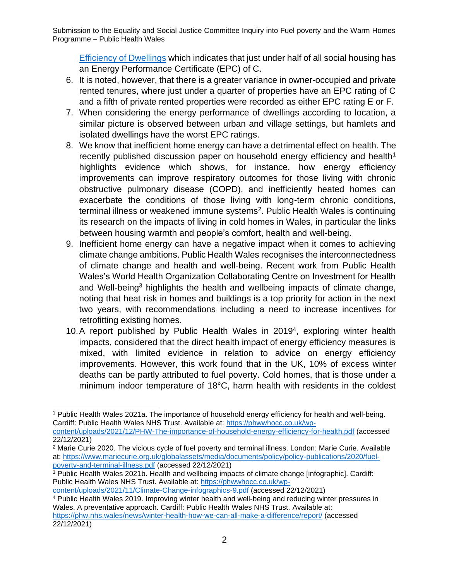Submission to the Equality and Social Justice Committee Inquiry into Fuel poverty and the Warm Homes Programme – Public Health Wales

[Efficiency of Dwellings](https://gov.wales/sites/default/files/statistics-and-research/2019-10/welsh-housing-conditions-survey-energy-efficiency-dwellings-april-2017-march-2018-795.pdf) which indicates that just under half of all social housing has an Energy Performance Certificate (EPC) of C.

- 6. It is noted, however, that there is a greater variance in owner-occupied and private rented tenures, where just under a quarter of properties have an EPC rating of C and a fifth of private rented properties were recorded as either EPC rating E or F.
- 7. When considering the energy performance of dwellings according to location, a similar picture is observed between urban and village settings, but hamlets and isolated dwellings have the worst EPC ratings.
- 8. We know that inefficient home energy can have a detrimental effect on health. The recently published discussion paper on household energy efficiency and health<sup>1</sup> highlights evidence which shows, for instance, how energy efficiency improvements can improve respiratory outcomes for those living with chronic obstructive pulmonary disease (COPD), and inefficiently heated homes can exacerbate the conditions of those living with long-term chronic conditions, terminal illness or weakened immune systems<sup>2</sup>. Public Health Wales is continuing its research on the impacts of living in cold homes in Wales, in particular the links between housing warmth and people's comfort, health and well-being.
- 9. Inefficient home energy can have a negative impact when it comes to achieving climate change ambitions. Public Health Wales recognises the interconnectedness of climate change and health and well-being. Recent work from Public Health Wales's World Health Organization Collaborating Centre on Investment for Health and Well-being<sup>3</sup> highlights the health and wellbeing impacts of climate change, noting that heat risk in homes and buildings is a top priority for action in the next two years, with recommendations including a need to increase incentives for retrofitting existing homes.
- 10. A report published by Public Health Wales in 2019<sup>4</sup>, exploring winter health impacts, considered that the direct health impact of energy efficiency measures is mixed, with limited evidence in relation to advice on energy efficiency improvements. However, this work found that in the UK, 10% of excess winter deaths can be partly attributed to fuel poverty. Cold homes, that is those under a minimum indoor temperature of 18°C, harm health with residents in the coldest

<sup>1</sup> Public Health Wales 2021a. The importance of household energy efficiency for health and well-being. Cardiff: Public Health Wales NHS Trust. Available at: [https://phwwhocc.co.uk/wp-](https://phwwhocc.co.uk/wp-content/uploads/2021/12/PHW-The-importance-of-household-energy-efficiency-for-health.pdf)

[content/uploads/2021/12/PHW-The-importance-of-household-energy-efficiency-for-health.pdf](https://phwwhocc.co.uk/wp-content/uploads/2021/12/PHW-The-importance-of-household-energy-efficiency-for-health.pdf) (accessed 22/12/2021)

<sup>&</sup>lt;sup>2</sup> Marie Curie 2020. The vicious cycle of fuel poverty and terminal illness. London: Marie Curie. Available at: [https://www.mariecurie.org.uk/globalassets/media/documents/policy/policy-publications/2020/fuel](https://www.mariecurie.org.uk/globalassets/media/documents/policy/policy-publications/2020/fuel-poverty-and-terminal-illness.pdf)[poverty-and-terminal-illness.pdf](https://www.mariecurie.org.uk/globalassets/media/documents/policy/policy-publications/2020/fuel-poverty-and-terminal-illness.pdf) (accessed 22/12/2021)

<sup>3</sup> Public Health Wales 2021b. Health and wellbeing impacts of climate change [infographic]. Cardiff: Public Health Wales NHS Trust. Available at: [https://phwwhocc.co.uk/wp-](https://phwwhocc.co.uk/wp-content/uploads/2021/11/Climate-Change-infographics-9.pdf)

[content/uploads/2021/11/Climate-Change-infographics-9.pdf](https://phwwhocc.co.uk/wp-content/uploads/2021/11/Climate-Change-infographics-9.pdf) (accessed 22/12/2021)

<sup>4</sup> Public Health Wales 2019. Improving winter health and well-being and reducing winter pressures in Wales. A preventative approach. Cardiff: Public Health Wales NHS Trust. Available at: <https://phw.nhs.wales/news/winter-health-how-we-can-all-make-a-difference/report/> (accessed 22/12/2021)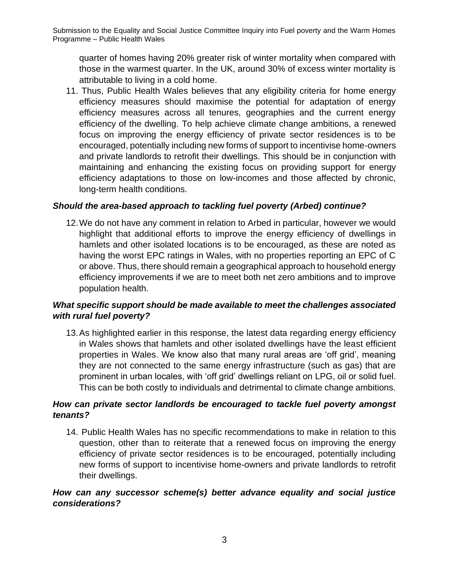quarter of homes having 20% greater risk of winter mortality when compared with those in the warmest quarter. In the UK, around 30% of excess winter mortality is attributable to living in a cold home.

11. Thus, Public Health Wales believes that any eligibility criteria for home energy efficiency measures should maximise the potential for adaptation of energy efficiency measures across all tenures, geographies and the current energy efficiency of the dwelling. To help achieve climate change ambitions, a renewed focus on improving the energy efficiency of private sector residences is to be encouraged, potentially including new forms of support to incentivise home-owners and private landlords to retrofit their dwellings. This should be in conjunction with maintaining and enhancing the existing focus on providing support for energy efficiency adaptations to those on low-incomes and those affected by chronic, long-term health conditions.

## *Should the area-based approach to tackling fuel poverty (Arbed) continue?*

12.We do not have any comment in relation to Arbed in particular, however we would highlight that additional efforts to improve the energy efficiency of dwellings in hamlets and other isolated locations is to be encouraged, as these are noted as having the worst EPC ratings in Wales, with no properties reporting an EPC of C or above. Thus, there should remain a geographical approach to household energy efficiency improvements if we are to meet both net zero ambitions and to improve population health.

## *What specific support should be made available to meet the challenges associated with rural fuel poverty?*

13.As highlighted earlier in this response, the latest data regarding energy efficiency in Wales shows that hamlets and other isolated dwellings have the least efficient properties in Wales. We know also that many rural areas are 'off grid', meaning they are not connected to the same energy infrastructure (such as gas) that are prominent in urban locales, with 'off grid' dwellings reliant on LPG, oil or solid fuel. This can be both costly to individuals and detrimental to climate change ambitions.

## *How can private sector landlords be encouraged to tackle fuel poverty amongst tenants?*

14. Public Health Wales has no specific recommendations to make in relation to this question, other than to reiterate that a renewed focus on improving the energy efficiency of private sector residences is to be encouraged, potentially including new forms of support to incentivise home-owners and private landlords to retrofit their dwellings.

#### *How can any successor scheme(s) better advance equality and social justice considerations?*